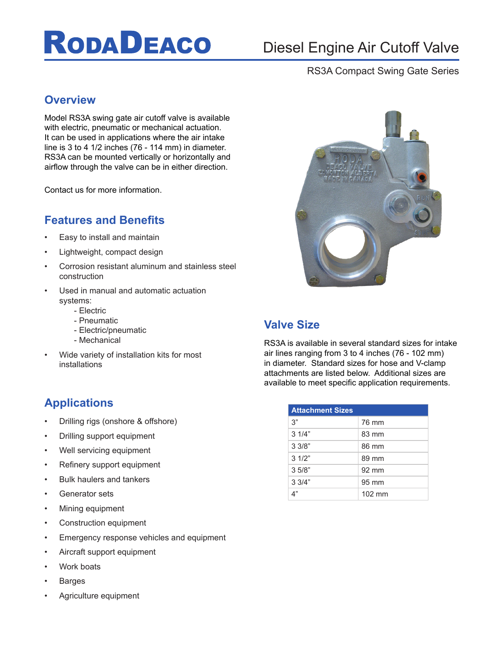# **RODADEACO**

## Diesel Engine Air Cutoff Valve

#### RS3A Compact Swing Gate Series

### **Overview**

Model RS3A swing gate air cutoff valve is available with electric, pneumatic or mechanical actuation. It can be used in applications where the air intake line is 3 to 4 1/2 inches (76 - 114 mm) in diameter. RS3A can be mounted vertically or horizontally and airflow through the valve can be in either direction.

Contact us for more information.

## **Features and Benefits**

- Easy to install and maintain
- Lightweight, compact design
- Corrosion resistant aluminum and stainless steel construction
- Used in manual and automatic actuation systems:
	- Electric
	- Pneumatic
	- Electric/pneumatic
	- Mechanical
- Wide variety of installation kits for most installations

## **Applications**

- Drilling rigs (onshore & offshore)
- Drilling support equipment
- Well servicing equipment
- Refinery support equipment
- Bulk haulers and tankers
- Generator sets
- Mining equipment
- Construction equipment
- Emergency response vehicles and equipment
- Aircraft support equipment
- Work boats
- **Barges**
- Agriculture equipment



### **Valve Size**

RS3A is available in several standard sizes for intake air lines ranging from 3 to 4 inches (76 - 102 mm) in diameter. Standard sizes for hose and V-clamp attachments are listed below. Additional sizes are available to meet specific application requirements.

| <b>Attachment Sizes</b> |        |
|-------------------------|--------|
| 3"                      | 76 mm  |
| 31/4"                   | 83 mm  |
| 33/8"                   | 86 mm  |
| 31/2"                   | 89 mm  |
| 3.5/8"                  | 92 mm  |
| 33/4"                   | 95 mm  |
|                         | 102 mm |